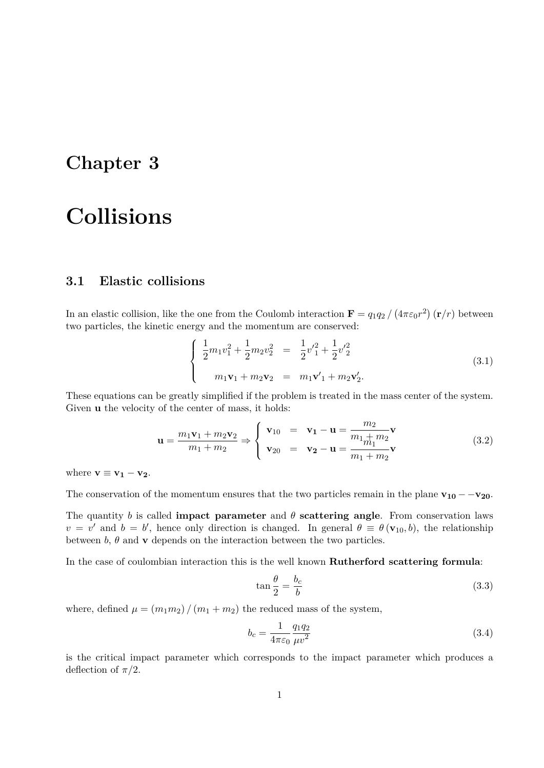## **Chapter 3**

# **Collisions**

## **3.1 Elastic collisions**

In an elastic collision, like the one from the Coulomb interaction  $\mathbf{F} = q_1 q_2 / (4\pi \varepsilon_0 r^2) (\mathbf{r}/r)$  between two particles, the kinetic energy and the momentum are conserved:

$$
\begin{cases}\n\frac{1}{2}m_1v_1^2 + \frac{1}{2}m_2v_2^2 = \frac{1}{2}v_1^2 + \frac{1}{2}v_2^2 \\
m_1\mathbf{v}_1 + m_2\mathbf{v}_2 = m_1\mathbf{v}_1' + m_2\mathbf{v}_2'.\n\end{cases}
$$
\n(3.1)

These equations can be greatly simplified if the problem is treated in the mass center of the system. Given **u** the velocity of the center of mass, it holds:

$$
\mathbf{u} = \frac{m_1 \mathbf{v}_1 + m_2 \mathbf{v}_2}{m_1 + m_2} \Rightarrow \begin{cases} \mathbf{v}_{10} = \mathbf{v}_1 - \mathbf{u} = \frac{m_2}{m_1 + m_2} \mathbf{v} \\ \mathbf{v}_{20} = \mathbf{v}_2 - \mathbf{u} = \frac{m_1 + m_2}{m_1 + m_2} \mathbf{v} \end{cases}
$$
(3.2)

where  $\mathbf{v} \equiv \mathbf{v}_1 - \mathbf{v}_2$ .

The conservation of the momentum ensures that the two particles remain in the plane  $\mathbf{v}_{10} - -\mathbf{v}_{20}$ .

The quantity *b* is called **impact parameter** and  $\theta$  **scattering angle**. From conservation laws  $v = v'$  and  $b = b'$ , hence only direction is changed. In general  $\theta \equiv \theta(\mathbf{v}_{10}, b)$ , the relationship between  $b$ ,  $\theta$  and  $\bf{v}$  depends on the interaction between the two particles.

In the case of coulombian interaction this is the well known **Rutherford scattering formula**:

$$
\tan\frac{\theta}{2} = \frac{b_c}{b} \tag{3.3}
$$

where, defined  $\mu = (m_1 m_2) / (m_1 + m_2)$  the reduced mass of the system,

$$
b_c = \frac{1}{4\pi\varepsilon_0} \frac{q_1 q_2}{\mu v^2} \tag{3.4}
$$

is the critical impact parameter which corresponds to the impact parameter which produces a deflection of  $\pi/2$ .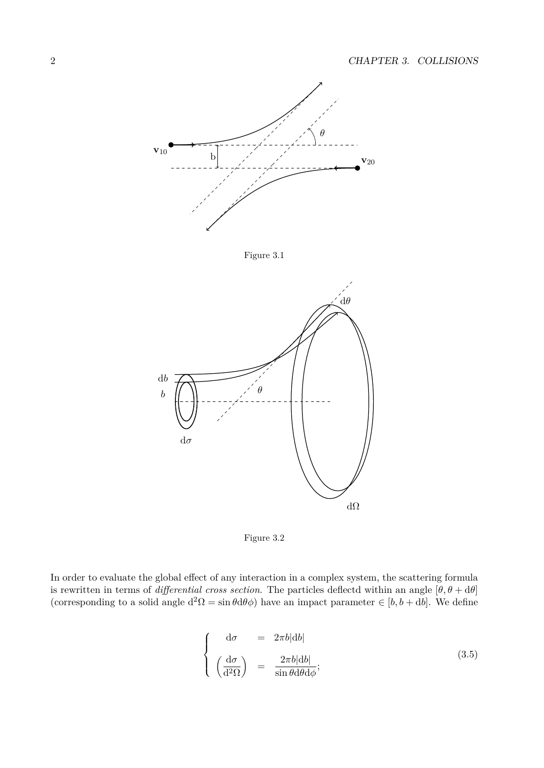



In order to evaluate the global effect of any interaction in a complex system, the scattering formula is rewritten in terms of *differential cross section*. The particles deflectd within an angle  $[\theta, \theta + d\theta]$ (corresponding to a solid angle  $d^2\Omega = \sin\theta d\theta \phi$ ) have an impact parameter  $\in [b, b + db]$ . We define

$$
\begin{cases}\n d\sigma &= 2\pi b |db| \\
 \left(\frac{d\sigma}{d^2\Omega}\right) &= \frac{2\pi b |db|}{\sin\theta d\theta d\phi};\n\end{cases}
$$
\n(3.5)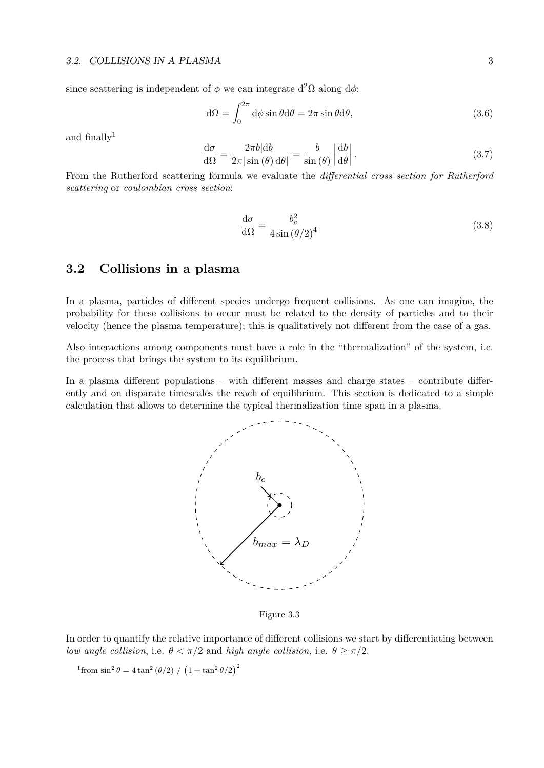since scattering is independent of  $\phi$  we can integrate  $d^2\Omega$  along  $d\phi$ :

$$
d\Omega = \int_0^{2\pi} d\phi \sin \theta d\theta = 2\pi \sin \theta d\theta, \qquad (3.6)
$$

and finally $1$ 

$$
\frac{d\sigma}{d\Omega} = \frac{2\pi b|db|}{2\pi |\sin(\theta)| d\theta|} = \frac{b}{\sin(\theta)} \left| \frac{db}{d\theta} \right|.
$$
\n(3.7)

From the Rutherford scattering formula we evaluate the *differential cross section for Rutherford scattering* or *coulombian cross section*:

$$
\frac{\mathrm{d}\sigma}{\mathrm{d}\Omega} = \frac{b_c^2}{4\sin\left(\theta/2\right)^4} \tag{3.8}
$$

### **3.2 Collisions in a plasma**

In a plasma, particles of different species undergo frequent collisions. As one can imagine, the probability for these collisions to occur must be related to the density of particles and to their velocity (hence the plasma temperature); this is qualitatively not different from the case of a gas.

Also interactions among components must have a role in the "thermalization" of the system, i.e. the process that brings the system to its equilibrium.

In a plasma different populations – with different masses and charge states – contribute differently and on disparate timescales the reach of equilibrium. This section is dedicated to a simple calculation that allows to determine the typical thermalization time span in a plasma.



Figure 3.3

In order to quantify the relative importance of different collisions we start by differentiating between *low angle collision, i.e.*  $\theta < \pi/2$  and *high angle collision, i.e.*  $\theta \ge \pi/2$ .

<sup>&</sup>lt;sup>1</sup> from sin<sup>2</sup>  $θ = 4 \tan^2(θ/2) / (1 + \tan^2(θ/2))^2$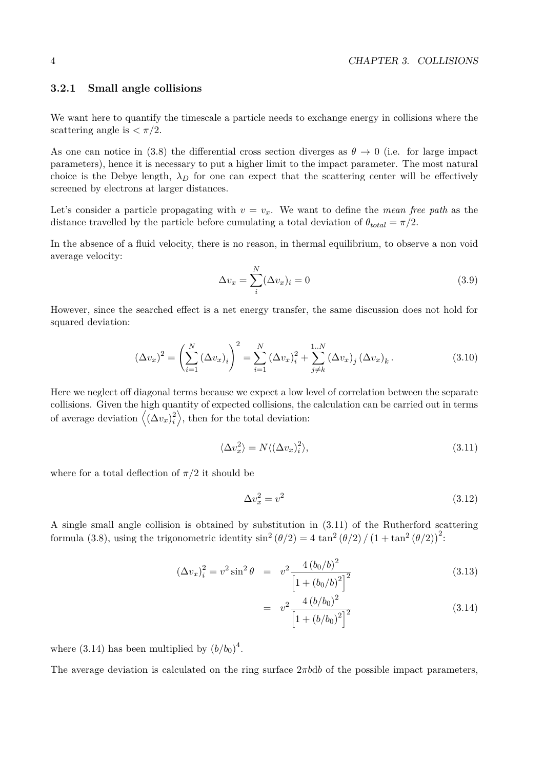#### **3.2.1 Small angle collisions**

We want here to quantify the timescale a particle needs to exchange energy in collisions where the scattering angle is  $\langle \pi/2 \rangle$ .

As one can notice in (3.8) the differential cross section diverges as  $\theta \to 0$  (i.e. for large impact parameters), hence it is necessary to put a higher limit to the impact parameter. The most natural choice is the Debye length,  $\lambda_D$  for one can expect that the scattering center will be effectively screened by electrons at larger distances.

Let's consider a particle propagating with  $v = v_x$ . We want to define the *mean free path* as the distance travelled by the particle before cumulating a total deviation of  $\theta_{total} = \pi/2$ .

In the absence of a fluid velocity, there is no reason, in thermal equilibrium, to observe a non void average velocity:

$$
\Delta v_x = \sum_{i}^{N} (\Delta v_x)_i = 0
$$
\n(3.9)

However, since the searched effect is a net energy transfer, the same discussion does not hold for squared deviation:

$$
(\Delta v_x)^2 = \left(\sum_{i=1}^N (\Delta v_x)_i\right)^2 = \sum_{i=1}^N (\Delta v_x)_i^2 + \sum_{j \neq k}^{1..N} (\Delta v_x)_j (\Delta v_x)_k.
$$
 (3.10)

Here we neglect off diagonal terms because we expect a low level of correlation between the separate collisions. Given the high quantity of expected collisions, the calculation can be carried out in terms of average deviation  $(\Delta v_x)^2_i$  $\binom{2}{i}$ , then for the total deviation:

$$
\langle \Delta v_x^2 \rangle = N \langle (\Delta v_x)_i^2 \rangle, \tag{3.11}
$$

where for a total deflection of  $\pi/2$  it should be

$$
\Delta v_x^2 = v^2 \tag{3.12}
$$

A single small angle collision is obtained by substitution in (3.11) of the Rutherford scattering formula (3.8), using the trigonometric identity  $\sin^2(\theta/2) = 4 \tan^2(\theta/2) / (1 + \tan^2(\theta/2))^2$ :

$$
(\Delta v_x)_i^2 = v^2 \sin^2 \theta = v^2 \frac{4 (b_0/b)^2}{\left[1 + (b_0/b)^2\right]^2}
$$
\n(3.13)

$$
= v^2 \frac{4 (b/b_0)^2}{\left[1 + (b/b_0)^2\right]^2}
$$
\n(3.14)

where  $(3.14)$  has been multiplied by  $(b/b_0)^4$ .

The average deviation is calculated on the ring surface 2*πb*d*b* of the possible impact parameters,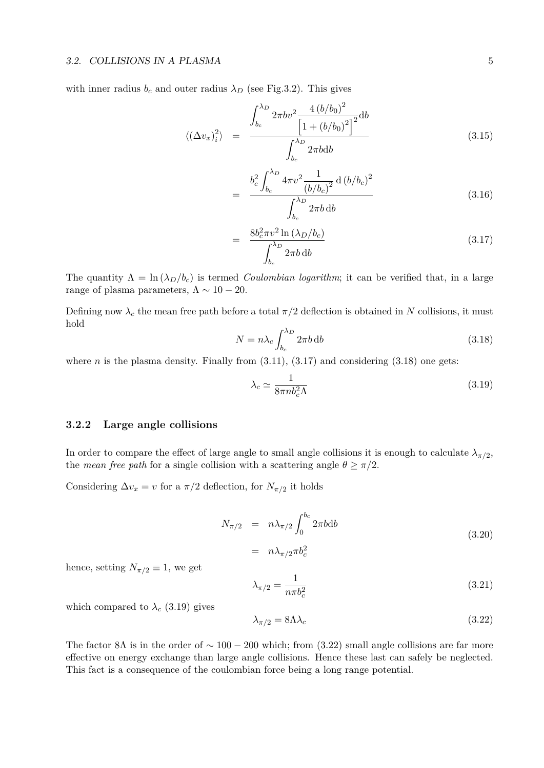#### 3.2. COLLISIONS IN A PLASMA 5

with inner radius  $b_c$  and outer radius  $\lambda_D$  (see Fig.3.2). This gives

$$
\langle (\Delta v_x)_i^2 \rangle = \frac{\int_{b_c}^{\lambda_D} 2\pi b v^2 \frac{4 (b/b_0)^2}{\left[1 + (b/b_0)^2\right]^2} db}{\int_{b_c}^{\lambda_D} 2\pi b db}
$$
(3.15)

$$
= \frac{b_c^2 \int_{b_c}^{\lambda_D} 4\pi v^2 \frac{1}{(b/b_c)^2} d(b/b_c)^2}{\int_{b_c}^{\lambda_D} 2\pi b \, db}
$$
(3.16)

$$
= \frac{8b_c^2 \pi v^2 \ln \left(\lambda_D / b_c\right)}{\int_{b_c}^{\lambda_D} 2\pi b \, \mathrm{d}b} \tag{3.17}
$$

The quantity  $\Lambda = \ln(\lambda_D/b_c)$  is termed *Coulombian logarithm*; it can be verified that, in a large range of plasma parameters,  $\Lambda \sim 10 - 20$ .

Defining now  $\lambda_c$  the mean free path before a total  $\pi/2$  deflection is obtained in *N* collisions, it must hold

$$
N = n\lambda_c \int_{b_c}^{\lambda_D} 2\pi b \, \mathrm{d}b \tag{3.18}
$$

where *n* is the plasma density. Finally from  $(3.11)$ ,  $(3.17)$  and considering  $(3.18)$  one gets:

$$
\lambda_c \simeq \frac{1}{8\pi n b_c^2 \Lambda} \tag{3.19}
$$

#### **3.2.2 Large angle collisions**

In order to compare the effect of large angle to small angle collisions it is enough to calculate  $\lambda_{\pi/2}$ , the *mean free path* for a single collision with a scattering angle  $\theta \geq \pi/2$ .

Considering  $\Delta v_x = v$  for a  $\pi/2$  deflection, for  $N_{\pi/2}$  it holds

$$
N_{\pi/2} = n\lambda_{\pi/2} \int_0^{b_c} 2\pi b \mathrm{d}b
$$
  
=  $n\lambda_{\pi/2} \pi b_c^2$  (3.20)

hence, setting  $N_{\pi/2} \equiv 1$ , we get

$$
\lambda_{\pi/2} = \frac{1}{n\pi b_c^2} \tag{3.21}
$$

which compared to  $\lambda_c$  (3.19) gives

$$
\lambda_{\pi/2} = 8\Lambda\lambda_c \tag{3.22}
$$

The factor 8 $\Lambda$  is in the order of  $\sim 100 - 200$  which; from (3.22) small angle collisions are far more effective on energy exchange than large angle collisions. Hence these last can safely be neglected. This fact is a consequence of the coulombian force being a long range potential.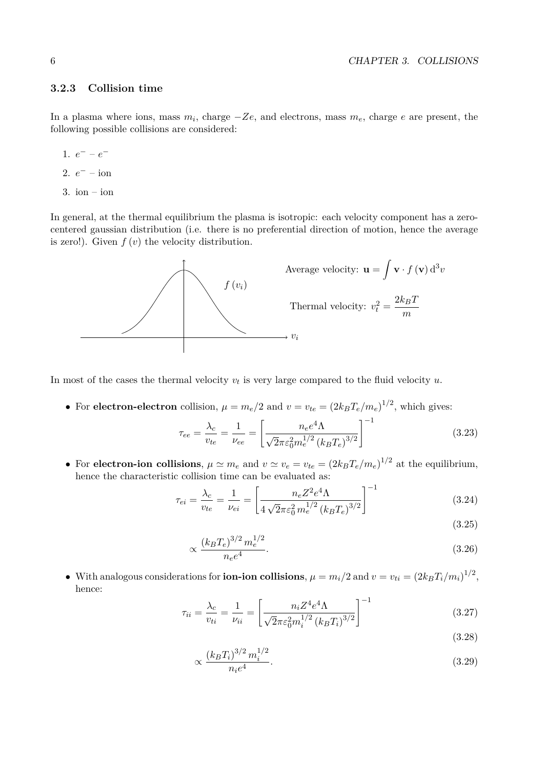#### **3.2.3 Collision time**

In a plasma where ions, mass *m<sup>i</sup>* , charge −*Ze*, and electrons, mass *me*, charge *e* are present, the following possible collisions are considered:

- 1.  $e^- e^-$
- 2.  $e^-$  ion
- $3.$  ion ion

In general, at the thermal equilibrium the plasma is isotropic: each velocity component has a zerocentered gaussian distribution (i.e. there is no preferential direction of motion, hence the average is zero!). Given *f* (*v*) the velocity distribution.



In most of the cases the thermal velocity  $v_t$  is very large compared to the fluid velocity  $u$ .

 $2/2$ 

 $1/2$ 

• For **electron-electron** collision,  $\mu = m_e/2$  and  $v = v_{te} = (2k_B T_e/m_e)^{1/2}$ , which gives:

$$
\tau_{ee} = \frac{\lambda_c}{v_{te}} = \frac{1}{\nu_{ee}} = \left[ \frac{n_e e^4 \Lambda}{\sqrt{2} \pi \varepsilon_0^2 m_e^{1/2} \left( k_B T_e \right)^{3/2}} \right]^{-1} \tag{3.23}
$$

• For **electron-ion collisions**,  $\mu \simeq m_e$  and  $v \simeq v_e = v_{te} = (2k_B T_e/m_e)^{1/2}$  at the equilibrium, hence the characteristic collision time can be evaluated as:

$$
\tau_{ei} = \frac{\lambda_c}{v_{te}} = \frac{1}{\nu_{ei}} = \left[ \frac{n_e Z^2 e^4 \Lambda}{4 \sqrt{2} \pi \varepsilon_0^2 m_e^{1/2} (k_B T_e)^{3/2}} \right]^{-1} \tag{3.24}
$$

$$
(3.29)
$$

$$
\propto \frac{(k_B T_e)^{3/2} m_e^{1/2}}{n_e e^4}.\tag{3.26}
$$

• With analogous considerations for **ion-ion collisions**,  $\mu = m_i/2$  and  $v = v_{ti} = (2k_B T_i/m_i)^{1/2}$ , hence:

$$
\tau_{ii} = \frac{\lambda_c}{v_{ti}} = \frac{1}{\nu_{ii}} = \left[ \frac{n_i Z^4 e^4 \Lambda}{\sqrt{2} \pi \varepsilon_0^2 m_i^{1/2} \left( k_B T_i \right)^{3/2}} \right]^{-1} \tag{3.27}
$$

$$
(3.28)
$$
\n
$$
(k_B T_i)^{3/2} m_i^{1/2}
$$
\n(3.29)

$$
\propto \frac{(n B T_i)^{-1} m_i}{n_i e^4}.
$$
\n(3.29)